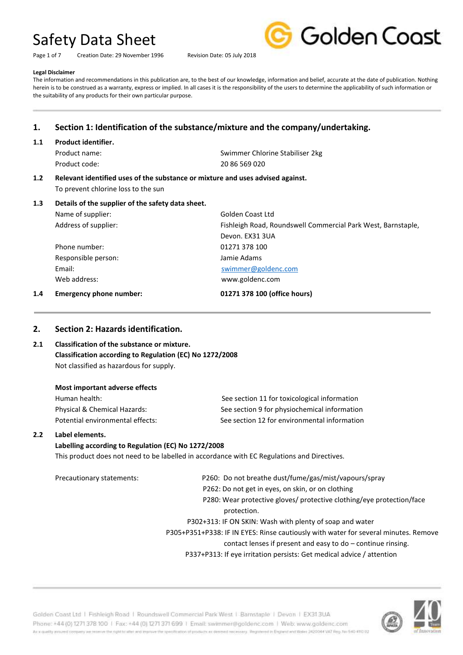Page 1 of 7 Creation Date: 29 November 1996 Revision Date: 05 July 2018



#### **Legal Disclaimer**

The information and recommendations in this publication are, to the best of our knowledge, information and belief, accurate at the date of publication. Nothing herein is to be construed as a warranty, express or implied. In all cases it is the responsibility of the users to determine the applicability of such information or the suitability of any products for their own particular purpose.

# **1. Section 1: Identification of the substance/mixture and the company/undertaking.**

#### **1.1 Product identifier.**

Product code: 20 86 569 020

Product name: Swimmer Chlorine Stabiliser 2kg

Devon. EX31 3UA

#### **1.2 Relevant identified uses of the substance or mixture and uses advised against.** To prevent chlorine loss to the sun

#### **1.3 Details of the supplier of the safety data sheet.**

Name of supplier: Golden Coast Ltd Address of supplier: Fishleigh Road, Roundswell Commercial Park West, Barnstaple,

Phone number: 01271 378 100 Responsible person: Jamie Adams Web address: www.goldenc.com

Email: [swimmer@goldenc.com](mailto:swimmer@goldenc.com)

#### **1.4 Emergency phone number: 01271 378 100 (office hours)**

### **2. Section 2: Hazards identification.**

# **2.1 Classification of the substance or mixture. Classification according to Regulation (EC) No 1272/2008** Not classified as hazardous for supply.

| Human health:                    |  |
|----------------------------------|--|
| Physical & Chemical Hazards:     |  |
| Potential environmental effects: |  |

See section 11 for toxicological information See section 9 for physiochemical information See section 12 for environmental information

#### **2.2 Label elements.**

#### **Labelling according to Regulation (EC) No 1272/2008**

This product does not need to be labelled in accordance with EC Regulations and Directives.

Precautionary statements: P260: Do not breathe dust/fume/gas/mist/vapours/spray P262: Do not get in eyes, on skin, or on clothing P280: Wear protective gloves/ protective clothing/eye protection/face protection. P302+313: IF ON SKIN: Wash with plenty of soap and water

> P305+P351+P338: IF IN EYES: Rinse cautiously with water for several minutes. Remove contact lenses if present and easy to do – continue rinsing.

P337+P313: If eye irritation persists: Get medical advice / attention

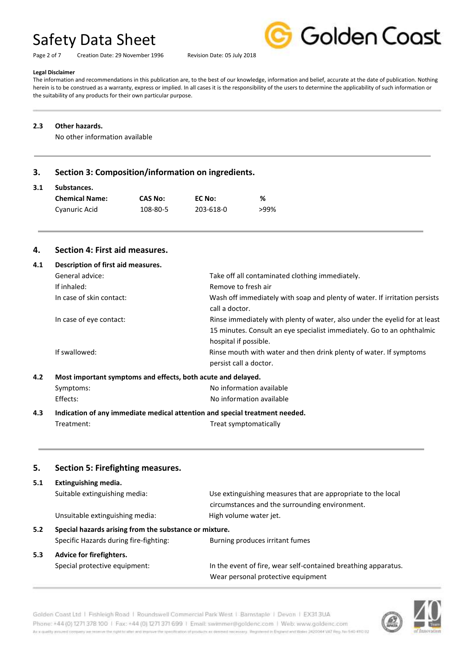Page 2 of 7 Creation Date: 29 November 1996 Revision Date: 05 July 2018



#### **Legal Disclaimer**

The information and recommendations in this publication are, to the best of our knowledge, information and belief, accurate at the date of publication. Nothing herein is to be construed as a warranty, express or implied. In all cases it is the responsibility of the users to determine the applicability of such information or the suitability of any products for their own particular purpose.

#### **2.3 Other hazards.**

No other information available

## **3. Section 3: Composition/information on ingredients.**

#### **3.1 Substances.**

| <b>Chemical Name:</b> | CAS No:  | EC No:    | %    |
|-----------------------|----------|-----------|------|
| Cyanuric Acid         | 108-80-5 | 203-618-0 | >99% |

## **4. Section 4: First aid measures.**

| 4.1 | Description of first aid measures.                                          |                                                                                                 |
|-----|-----------------------------------------------------------------------------|-------------------------------------------------------------------------------------------------|
|     | General advice:                                                             | Take off all contaminated clothing immediately.                                                 |
|     | If inhaled:                                                                 | Remove to fresh air                                                                             |
|     | In case of skin contact:                                                    | Wash off immediately with soap and plenty of water. If irritation persists<br>call a doctor.    |
|     | In case of eye contact:                                                     | Rinse immediately with plenty of water, also under the eyelid for at least                      |
|     |                                                                             | 15 minutes. Consult an eye specialist immediately. Go to an ophthalmic<br>hospital if possible. |
|     | If swallowed:                                                               | Rinse mouth with water and then drink plenty of water. If symptoms<br>persist call a doctor.    |
| 4.2 | Most important symptoms and effects, both acute and delayed.                |                                                                                                 |
|     | Symptoms:                                                                   | No information available                                                                        |
|     | Effects:                                                                    | No information available                                                                        |
| 4.3 | Indication of any immediate medical attention and special treatment needed. |                                                                                                 |

Treatment: Treat symptomatically

## **5. Section 5: Firefighting measures.**

| 5.1                                                           | Extinguishing media.                   |                                                                                                                |  |
|---------------------------------------------------------------|----------------------------------------|----------------------------------------------------------------------------------------------------------------|--|
|                                                               | Suitable extinguishing media:          | Use extinguishing measures that are appropriate to the local<br>circumstances and the surrounding environment. |  |
|                                                               | Unsuitable extinguishing media:        | High volume water jet.                                                                                         |  |
| Special hazards arising from the substance or mixture.<br>5.2 |                                        |                                                                                                                |  |
|                                                               | Specific Hazards during fire-fighting: | Burning produces irritant fumes                                                                                |  |
| 5.3                                                           | Advice for firefighters.               |                                                                                                                |  |
|                                                               | Special protective equipment:          | In the event of fire, wear self-contained breathing apparatus.                                                 |  |
|                                                               |                                        | Wear personal protective equipment                                                                             |  |

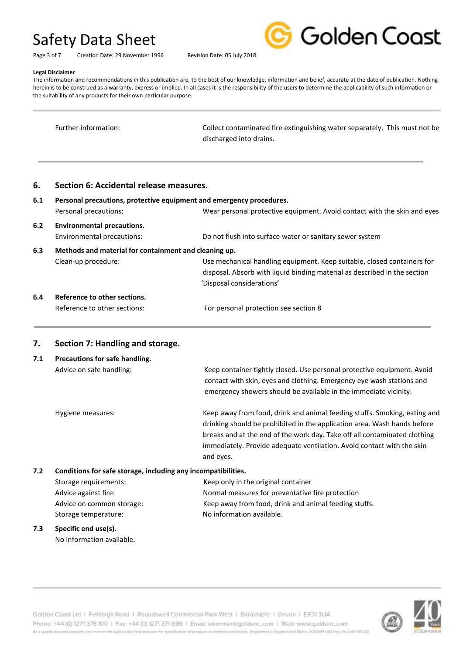Page 3 of 7 Creation Date: 29 November 1996 Revision Date: 05 July 2018



#### **Legal Disclaimer**

The information and recommendations in this publication are, to the best of our knowledge, information and belief, accurate at the date of publication. Nothing herein is to be construed as a warranty, express or implied. In all cases it is the responsibility of the users to determine the applicability of such information or the suitability of any products for their own particular purpose.

| Further information: | Collect contaminated fire extinguishing water separately. This must not be |
|----------------------|----------------------------------------------------------------------------|
|                      | discharged into drains.                                                    |

### **6. Section 6: Accidental release measures.**

| 6.1 | Personal precautions, protective equipment and emergency procedures. |                                                                           |
|-----|----------------------------------------------------------------------|---------------------------------------------------------------------------|
|     | Personal precautions:                                                | Wear personal protective equipment. Avoid contact with the skin and eyes  |
| 6.2 | <b>Environmental precautions.</b>                                    |                                                                           |
|     | Environmental precautions:                                           | Do not flush into surface water or sanitary sewer system                  |
| 6.3 | Methods and material for containment and cleaning up.                |                                                                           |
|     | Clean-up procedure:                                                  | Use mechanical handling equipment. Keep suitable, closed containers for   |
|     |                                                                      | disposal. Absorb with liquid binding material as described in the section |
|     |                                                                      | 'Disposal considerations'                                                 |
| 6.4 | Reference to other sections.                                         |                                                                           |

| Reference to other sections: | For personal protection see section 8 |
|------------------------------|---------------------------------------|
|                              |                                       |

Storage temperature: No information available.

## **7. Section 7: Handling and storage.**

| 7.1 | Precautions for safe handling.<br>Advice on safe handling:    | Keep container tightly closed. Use personal protective equipment. Avoid<br>contact with skin, eyes and clothing. Emergency eye wash stations and<br>emergency showers should be available in the immediate vicinity.                                                                                                      |
|-----|---------------------------------------------------------------|---------------------------------------------------------------------------------------------------------------------------------------------------------------------------------------------------------------------------------------------------------------------------------------------------------------------------|
|     | Hygiene measures:                                             | Keep away from food, drink and animal feeding stuffs. Smoking, eating and<br>drinking should be prohibited in the application area. Wash hands before<br>breaks and at the end of the work day. Take off all contaminated clothing<br>immediately. Provide adequate ventilation. Avoid contact with the skin<br>and eyes. |
| 7.2 | Conditions for safe storage, including any incompatibilities. |                                                                                                                                                                                                                                                                                                                           |
|     | Storage requirements:                                         | Keep only in the original container                                                                                                                                                                                                                                                                                       |
|     | Advice against fire:                                          | Normal measures for preventative fire protection                                                                                                                                                                                                                                                                          |
|     | Advice on common storage:                                     | Keep away from food, drink and animal feeding stuffs.                                                                                                                                                                                                                                                                     |

**7.3 Specific end use(s).** No information available.

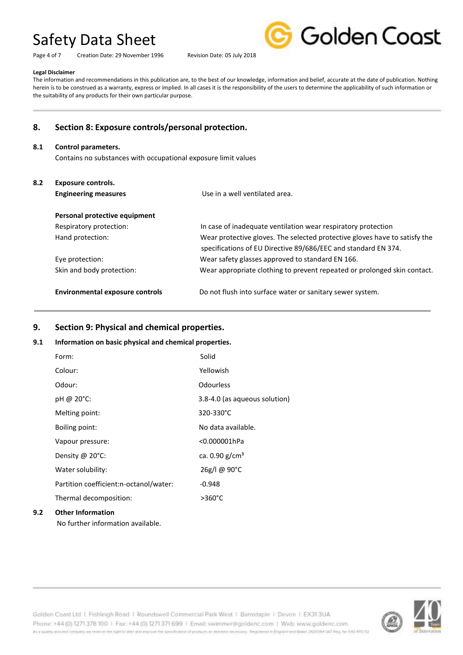Page 4 of 7 Creation Date: 29 November 1996 Revision Date: 05 July 2018



### **Legal Disclaimer**

The information and recommendations in this publication are, to the best of our knowledge, information and belief, accurate at the date of publication. Nothing herein is to be construed as a warranty, express or implied. In all cases it is the responsibility of the users to determine the applicability of such information or the suitability of any products for their own particular purpose.

# **8. Section 8: Exposure controls/personal protection.**

#### **8.1 Control parameters.**

Contains no substances with occupational exposure limit values

| 8.2 | <b>Exposure controls.</b><br><b>Engineering measures</b> | Use in a well ventilated area.                                                                                                               |
|-----|----------------------------------------------------------|----------------------------------------------------------------------------------------------------------------------------------------------|
|     | Personal protective equipment                            |                                                                                                                                              |
|     | Respiratory protection:                                  | In case of inadequate ventilation wear respiratory protection                                                                                |
|     | Hand protection:                                         | Wear protective gloves. The selected protective gloves have to satisfy the<br>specifications of EU Directive 89/686/EEC and standard EN 374. |
|     | Eye protection:                                          | Wear safety glasses approved to standard EN 166.                                                                                             |
|     | Skin and body protection:                                | Wear appropriate clothing to prevent repeated or prolonged skin contact.                                                                     |
|     | <b>Environmental exposure controls</b>                   | Do not flush into surface water or sanitary sewer system.                                                                                    |

## **9. Section 9: Physical and chemical properties.**

#### **9.1 Information on basic physical and chemical properties.**

| 9.2 | <b>Other Information</b>               |                               |
|-----|----------------------------------------|-------------------------------|
|     | Thermal decomposition:                 | $>360^{\circ}$ C              |
|     | Partition coefficient:n-octanol/water: | $-0.948$                      |
|     | Water solubility:                      | 26g/l @ 90°C                  |
|     | Density $@$ 20 $°C$ :                  | ca. $0.90$ g/cm <sup>3</sup>  |
|     | Vapour pressure:                       | <0.000001hPa                  |
|     | <b>Boiling point:</b>                  | No data available.            |
|     | Melting point:                         | 320-330°C                     |
|     | pH @ 20°C:                             | 3.8-4.0 (as aqueous solution) |
|     | Odour:                                 | Odourless                     |
|     | Colour:                                | Yellowish                     |
|     | Form:                                  | Solid                         |

No further information available.

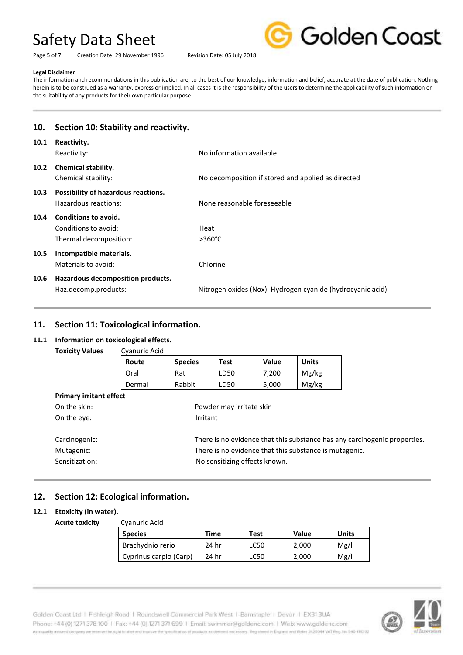Page 5 of 7 Creation Date: 29 November 1996 Revision Date: 05 July 2018



#### **Legal Disclaimer**

The information and recommendations in this publication are, to the best of our knowledge, information and belief, accurate at the date of publication. Nothing herein is to be construed as a warranty, express or implied. In all cases it is the responsibility of the users to determine the applicability of such information or the suitability of any products for their own particular purpose.

| 10.               | Section 10: Stability and reactivity.                                  |                                                           |
|-------------------|------------------------------------------------------------------------|-----------------------------------------------------------|
| 10.1              | Reactivity.<br>Reactivity:                                             | No information available.                                 |
| 10.2 <sub>1</sub> | <b>Chemical stability.</b><br>Chemical stability:                      | No decomposition if stored and applied as directed        |
| 10.3              | Possibility of hazardous reactions.<br>Hazardous reactions:            | None reasonable foreseeable                               |
| 10.4              | Conditions to avoid.<br>Conditions to avoid:<br>Thermal decomposition: | Heat<br>$>360^{\circ}$ C                                  |
| 10.5              | Incompatible materials.<br>Materials to avoid:                         | Chlorine                                                  |
| 10.6              | Hazardous decomposition products.<br>Haz.decomp.products:              | Nitrogen oxides (Nox) Hydrogen cyanide (hydrocyanic acid) |

## **11. Section 11: Toxicological information.**

### **11.1 Information on toxicological effects.**

**Toxicity Values** Cyanuric Acid

| Route  | <b>Species</b> |      | Value | <b>Units</b> |  |
|--------|----------------|------|-------|--------------|--|
| Oral   | Rat            | LD50 | 7.200 | Mg/kg        |  |
| Dermal | Rabbit         | LD50 | 5,000 | Mg/kg        |  |

| There is no evidence that this substance has any carcinogenic properties. |
|---------------------------------------------------------------------------|
|                                                                           |
|                                                                           |
|                                                                           |

# **12. Section 12: Ecological information.**

### **12.1 Etoxicity (in water).**

**Acute toxicity** Cyanuric Acid

| Cydilulic Aciu         |             |      |              |       |
|------------------------|-------------|------|--------------|-------|
| <b>Species</b>         | <b>Time</b> | Test | <b>Value</b> | Units |
| Brachydnio rerio       | 24 hr       | LC50 | 2,000        | Mg/l  |
| Cyprinus carpio (Carp) | 24 hr       | LC50 | 2,000        | Mg/l  |

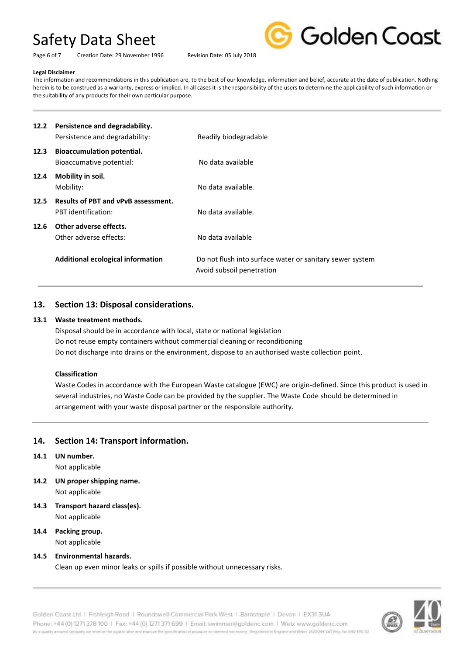Page 6 of 7 Creation Date: 29 November 1996 Revision Date: 05 July 2018



#### **Legal Disclaimer**

The information and recommendations in this publication are, to the best of our knowledge, information and belief, accurate at the date of publication. Nothing herein is to be construed as a warranty, express or implied. In all cases it is the responsibility of the users to determine the applicability of such information or the suitability of any products for their own particular purpose.

| 12.2 | Persistence and degradability.<br>Persistence and degradability:                      | Readily biodegradable                                                                                      |
|------|---------------------------------------------------------------------------------------|------------------------------------------------------------------------------------------------------------|
| 12.3 | <b>Bioaccumulation potential.</b><br>Bioaccumative potential:                         | No data available                                                                                          |
| 12.4 | Mobility in soil.<br>Mobility:                                                        | No data available.                                                                                         |
| 12.5 | <b>Results of PBT and vPvB assessment.</b><br>PBT identification:                     | No data available.                                                                                         |
| 12.6 | Other adverse effects.<br>Other adverse effects:<br>Additional ecological information | No data available<br>Do not flush into surface water or sanitary sewer system<br>Avoid subsoil penetration |
|      |                                                                                       |                                                                                                            |

## **13. Section 13: Disposal considerations.**

#### **13.1 Waste treatment methods.**

Disposal should be in accordance with local, state or national legislation Do not reuse empty containers without commercial cleaning or reconditioning Do not discharge into drains or the environment, dispose to an authorised waste collection point.

#### **Classification**

Waste Codes in accordance with the European Waste catalogue (EWC) are origin-defined. Since this product is used in several industries, no Waste Code can be provided by the supplier. The Waste Code should be determined in arrangement with your waste disposal partner or the responsible authority.

# **14. Section 14: Transport information.**

- **14.1 UN number.** Not applicable
- **14.2 UN proper shipping name.** Not applicable
- **14.3 Transport hazard class(es).** Not applicable
- **14.4 Packing group.** Not applicable

### **14.5 Environmental hazards.**

Clean up even minor leaks or spills if possible without unnecessary risks.